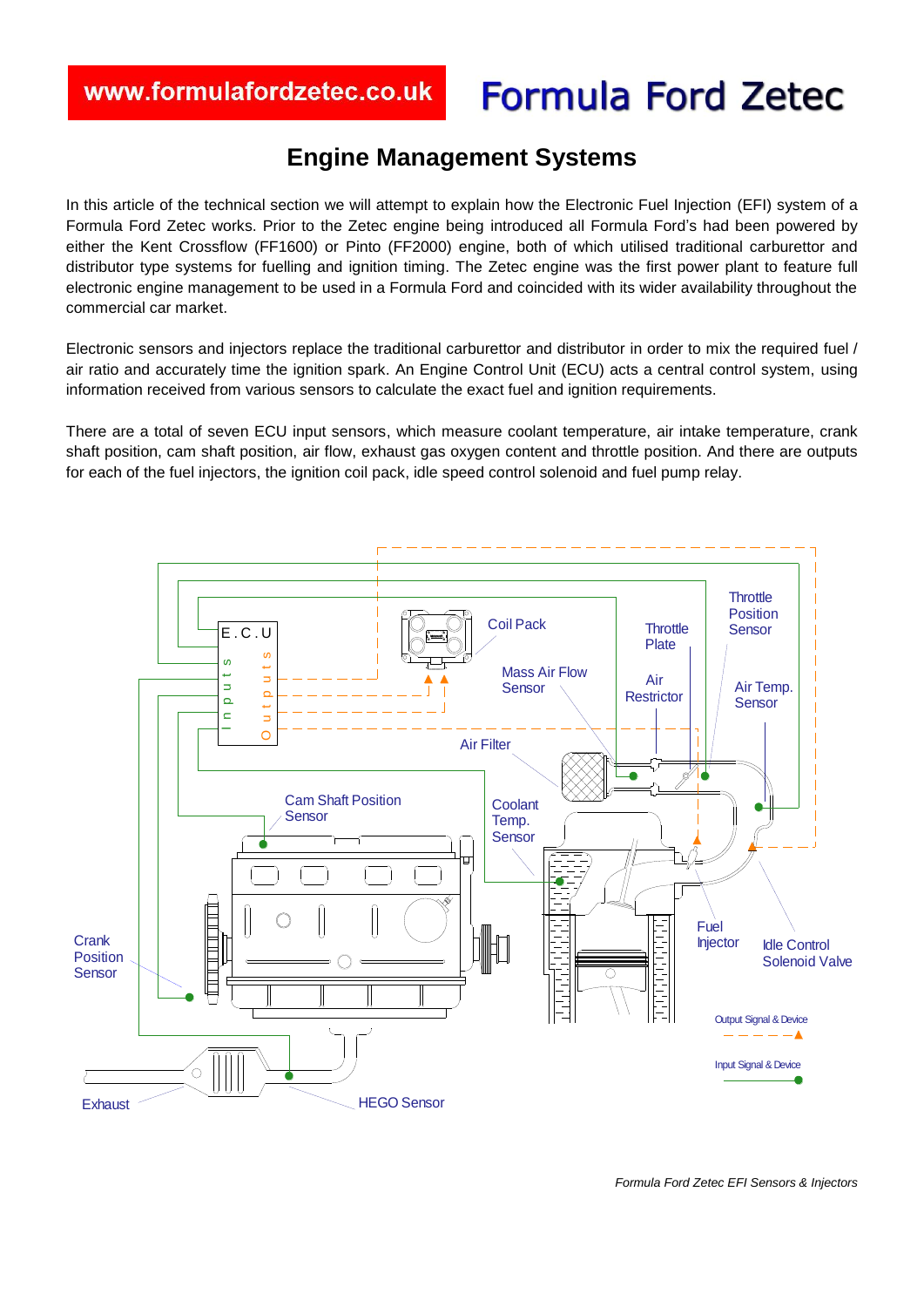# **Formula Ford Zetec**

# **Engine Management Systems**

J

In this article of the technical section we will attempt to explain how the Electronic Fuel Injection (EFI) system of a Formula Ford Zetec works. Prior to the Zetec engine being introduced all Formula Ford's had been powered by either the Kent Crossflow (FF1600) or Pinto (FF2000) engine, both of which utilised traditional carburettor and distributor type systems for fuelling and ignition timing. The Zetec engine was the first power plant to feature full electronic engine management to be used in a Formula Ford and coincided with its wider availability throughout the commercial car market.

Electronic sensors and injectors replace the traditional carburettor and distributor in order to mix the required fuel / air ratio and accurately time the ignition spark. An Engine Control Unit (ECU) acts a central control system, using information received from various sensors to calculate the exact fuel and ignition requirements.

There are a total of seven ECU input sensors, which measure coolant temperature, air intake temperature, crank shaft position, cam shaft position, air flow, exhaust gas oxygen content and throttle position. And there are outputs for each of the fuel injectors, the ignition coil pack, idle speed control solenoid and fuel pump relay.

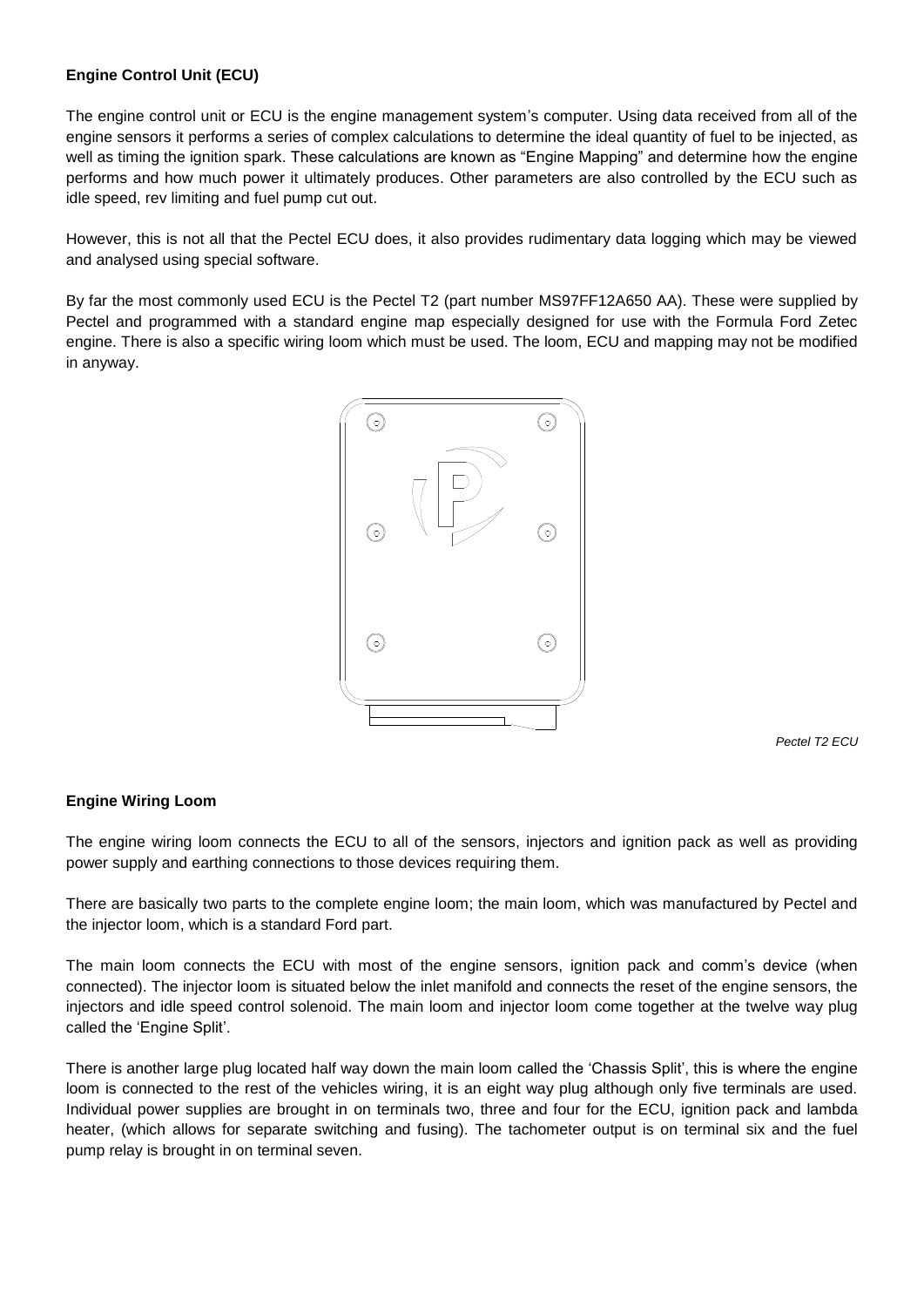# **Engine Control Unit (ECU)**

The engine control unit or ECU is the engine management system's computer. Using data received from all of the engine sensors it performs a series of complex calculations to determine the ideal quantity of fuel to be injected, as well as timing the ignition spark. These calculations are known as "Engine Mapping" and determine how the engine performs and how much power it ultimately produces. Other parameters are also controlled by the ECU such as idle speed, rev limiting and fuel pump cut out.

However, this is not all that the Pectel ECU does, it also provides rudimentary data logging which may be viewed and analysed using special software.

By far the most commonly used ECU is the Pectel T2 (part number MS97FF12A650 AA). These were supplied by Pectel and programmed with a standard engine map especially designed for use with the Formula Ford Zetec engine. There is also a specific wiring loom which must be used. The loom, ECU and mapping may not be modified in anyway.



*Pectel T2 ECU*

#### **Engine Wiring Loom**

The engine wiring loom connects the ECU to all of the sensors, injectors and ignition pack as well as providing power supply and earthing connections to those devices requiring them.

There are basically two parts to the complete engine loom; the main loom, which was manufactured by Pectel and the injector loom, which is a standard Ford part.

The main loom connects the ECU with most of the engine sensors, ignition pack and comm's device (when connected). The injector loom is situated below the inlet manifold and connects the reset of the engine sensors, the injectors and idle speed control solenoid. The main loom and injector loom come together at the twelve way plug called the 'Engine Split'.

There is another large plug located half way down the main loom called the 'Chassis Split', this is where the engine loom is connected to the rest of the vehicles wiring, it is an eight way plug although only five terminals are used. Individual power supplies are brought in on terminals two, three and four for the ECU, ignition pack and lambda heater, (which allows for separate switching and fusing). The tachometer output is on terminal six and the fuel pump relay is brought in on terminal seven.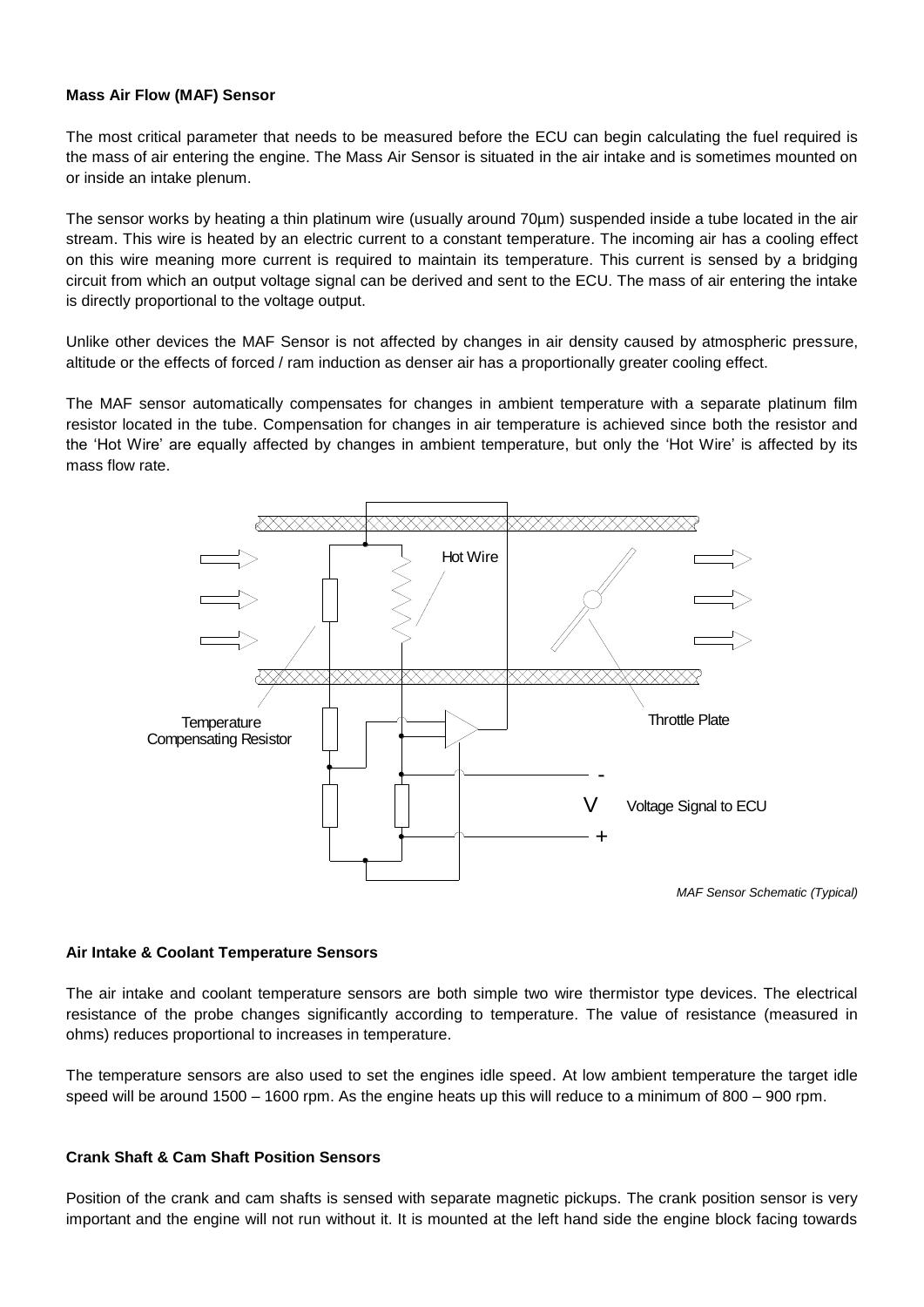#### **Mass Air Flow (MAF) Sensor**

The most critical parameter that needs to be measured before the ECU can begin calculating the fuel required is the mass of air entering the engine. The Mass Air Sensor is situated in the air intake and is sometimes mounted on or inside an intake plenum.

The sensor works by heating a thin platinum wire (usually around 70µm) suspended inside a tube located in the air stream. This wire is heated by an electric current to a constant temperature. The incoming air has a cooling effect on this wire meaning more current is required to maintain its temperature. This current is sensed by a bridging circuit from which an output voltage signal can be derived and sent to the ECU. The mass of air entering the intake is directly proportional to the voltage output.

Unlike other devices the MAF Sensor is not affected by changes in air density caused by atmospheric pressure, altitude or the effects of forced / ram induction as denser air has a proportionally greater cooling effect.

The MAF sensor automatically compensates for changes in ambient temperature with a separate platinum film resistor located in the tube. Compensation for changes in air temperature is achieved since both the resistor and the 'Hot Wire' are equally affected by changes in ambient temperature, but only the 'Hot Wire' is affected by its mass flow rate.



#### **Air Intake & Coolant Temperature Sensors**

The air intake and coolant temperature sensors are both simple two wire thermistor type devices. The electrical resistance of the probe changes significantly according to temperature. The value of resistance (measured in ohms) reduces proportional to increases in temperature.

The temperature sensors are also used to set the engines idle speed. At low ambient temperature the target idle speed will be around 1500 – 1600 rpm. As the engine heats up this will reduce to a minimum of 800 – 900 rpm.

#### **Crank Shaft & Cam Shaft Position Sensors**

Position of the crank and cam shafts is sensed with separate magnetic pickups. The crank position sensor is very important and the engine will not run without it. It is mounted at the left hand side the engine block facing towards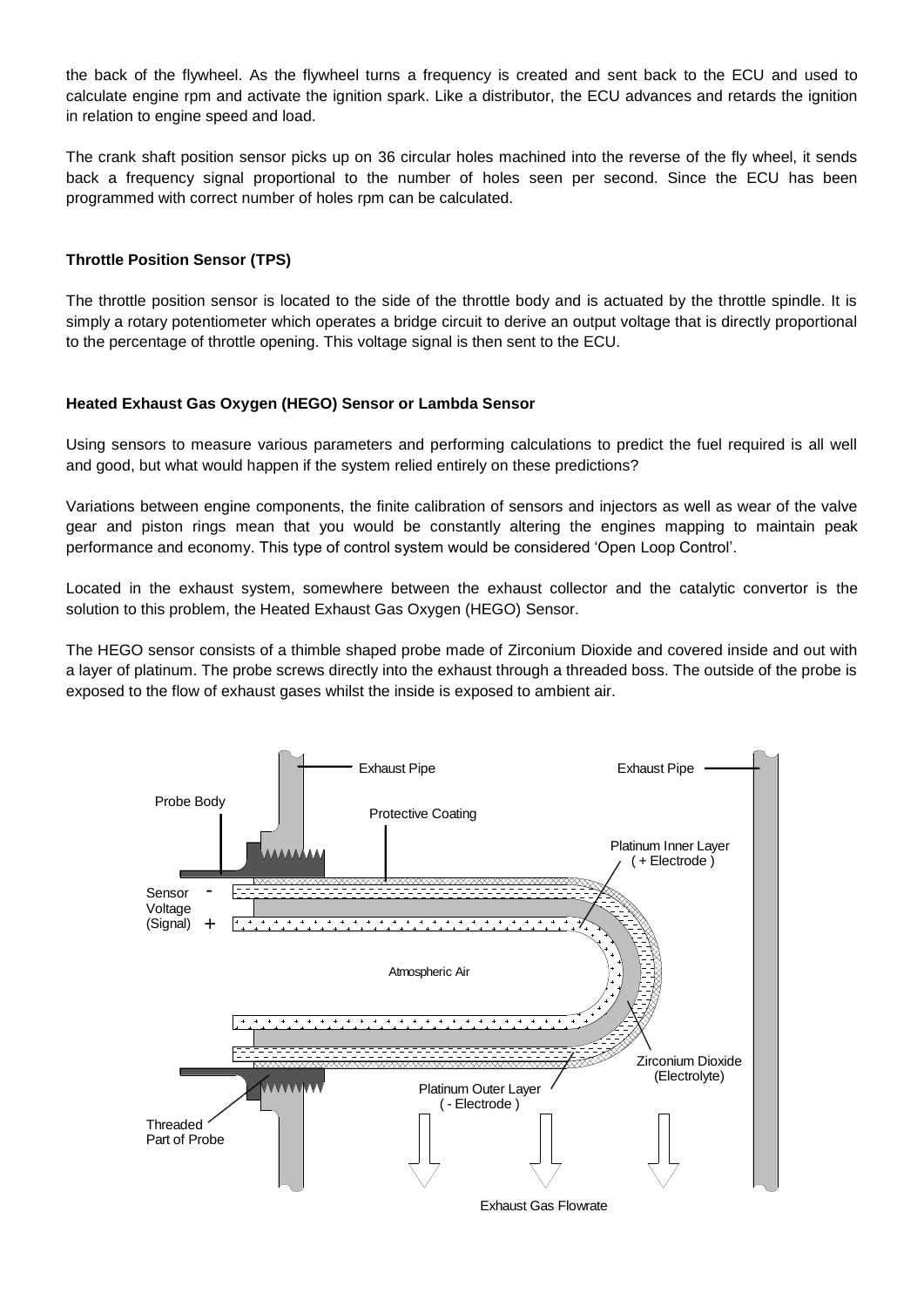the back of the flywheel. As the flywheel turns a frequency is created and sent back to the ECU and used to calculate engine rpm and activate the ignition spark. Like a distributor, the ECU advances and retards the ignition in relation to engine speed and load.

The crank shaft position sensor picks up on 36 circular holes machined into the reverse of the fly wheel, it sends back a frequency signal proportional to the number of holes seen per second. Since the ECU has been programmed with correct number of holes rpm can be calculated.

### **Throttle Position Sensor (TPS)**

The throttle position sensor is located to the side of the throttle body and is actuated by the throttle spindle. It is simply a rotary potentiometer which operates a bridge circuit to derive an output voltage that is directly proportional to the percentage of throttle opening. This voltage signal is then sent to the ECU.

#### **Heated Exhaust Gas Oxygen (HEGO) Sensor or Lambda Sensor**

Using sensors to measure various parameters and performing calculations to predict the fuel required is all well and good, but what would happen if the system relied entirely on these predictions?

Variations between engine components, the finite calibration of sensors and injectors as well as wear of the valve gear and piston rings mean that you would be constantly altering the engines mapping to maintain peak performance and economy. This type of control system would be considered 'Open Loop Control'.

Located in the exhaust system, somewhere between the exhaust collector and the catalytic convertor is the solution to this problem, the Heated Exhaust Gas Oxygen (HEGO) Sensor.

The HEGO sensor consists of a thimble shaped probe made of Zirconium Dioxide and covered inside and out with a layer of platinum. The probe screws directly into the exhaust through a threaded boss. The outside of the probe is exposed to the flow of exhaust gases whilst the inside is exposed to ambient air.

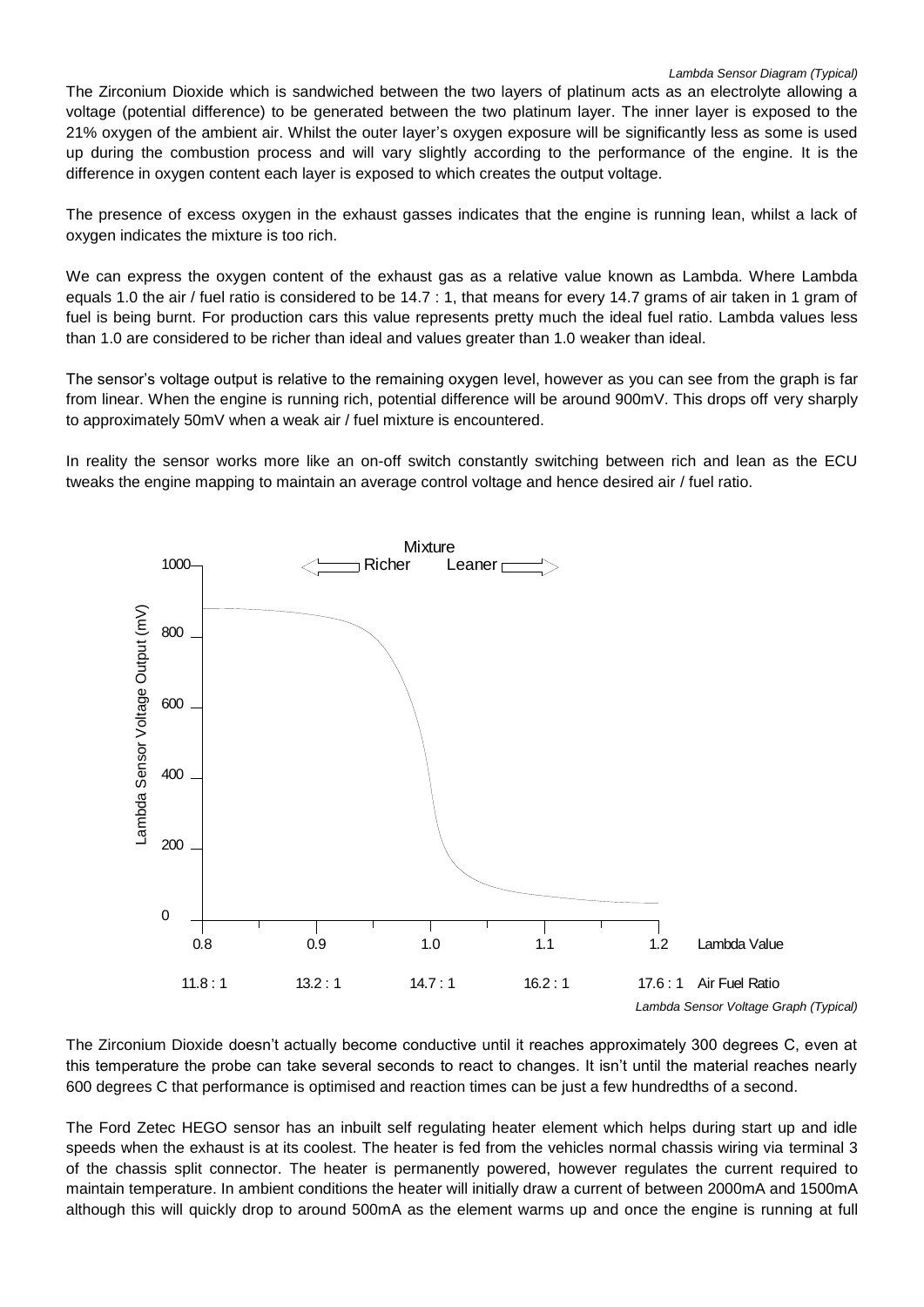The Zirconium Dioxide which is sandwiched between the two layers of platinum acts as an electrolyte allowing a voltage (potential difference) to be generated between the two platinum layer. The inner layer is exposed to the 21% oxygen of the ambient air. Whilst the outer layer's oxygen exposure will be significantly less as some is used up during the combustion process and will vary slightly according to the performance of the engine. It is the difference in oxygen content each layer is exposed to which creates the output voltage.

The presence of excess oxygen in the exhaust gasses indicates that the engine is running lean, whilst a lack of oxygen indicates the mixture is too rich.

We can express the oxygen content of the exhaust gas as a relative value known as Lambda. Where Lambda equals 1.0 the air / fuel ratio is considered to be 14.7 : 1, that means for every 14.7 grams of air taken in 1 gram of fuel is being burnt. For production cars this value represents pretty much the ideal fuel ratio. Lambda values less than 1.0 are considered to be richer than ideal and values greater than 1.0 weaker than ideal.

The sensor's voltage output is relative to the remaining oxygen level, however as you can see from the graph is far from linear. When the engine is running rich, potential difference will be around 900mV. This drops off very sharply to approximately 50mV when a weak air / fuel mixture is encountered.

In reality the sensor works more like an on-off switch constantly switching between rich and lean as the ECU tweaks the engine mapping to maintain an average control voltage and hence desired air / fuel ratio.



The Zirconium Dioxide doesn't actually become conductive until it reaches approximately 300 degrees C, even at this temperature the probe can take several seconds to react to changes. It isn't until the material reaches nearly 600 degrees C that performance is optimised and reaction times can be just a few hundredths of a second.

The Ford Zetec HEGO sensor has an inbuilt self regulating heater element which helps during start up and idle speeds when the exhaust is at its coolest. The heater is fed from the vehicles normal chassis wiring via terminal 3 of the chassis split connector. The heater is permanently powered, however regulates the current required to maintain temperature. In ambient conditions the heater will initially draw a current of between 2000mA and 1500mA although this will quickly drop to around 500mA as the element warms up and once the engine is running at full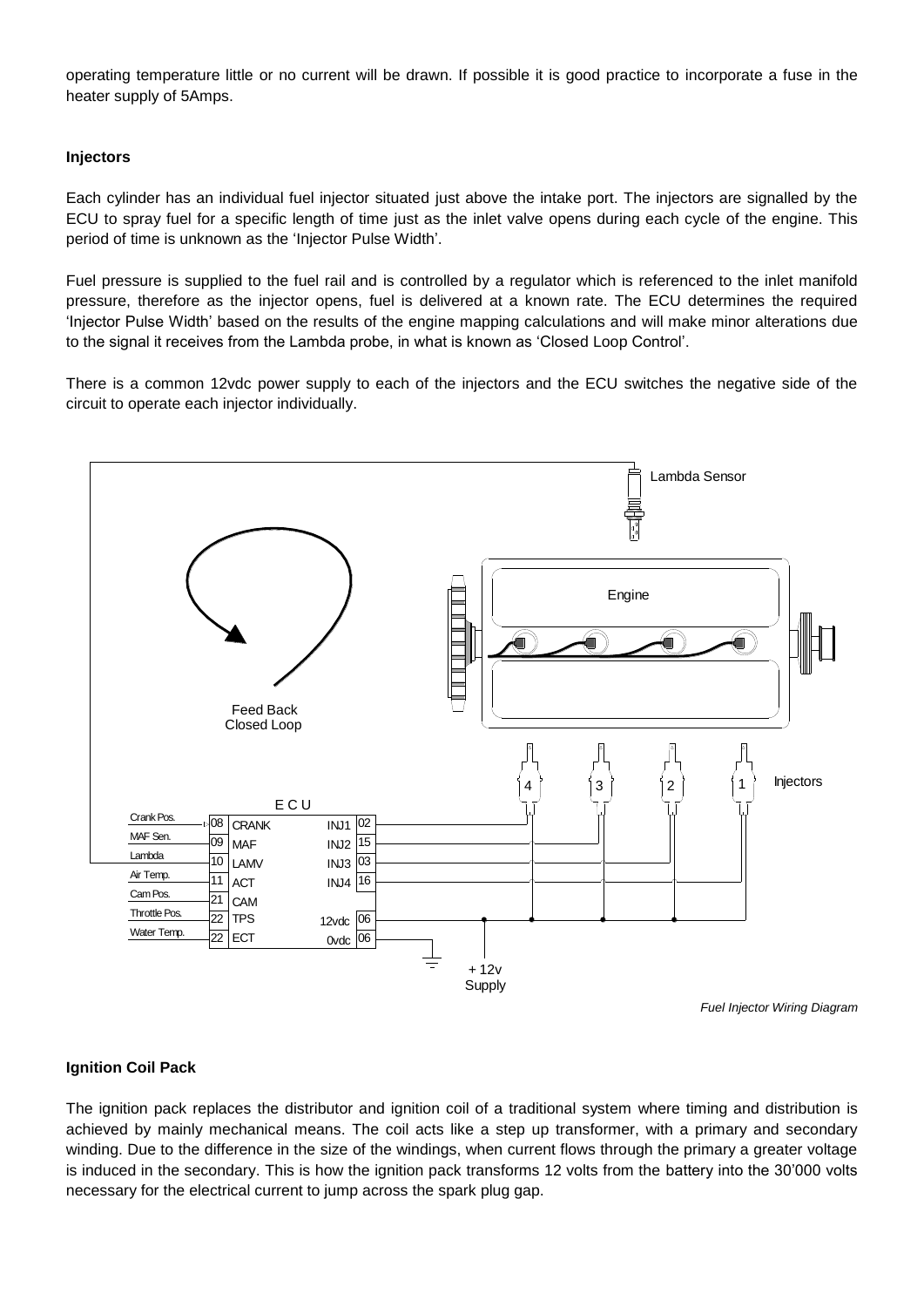operating temperature little or no current will be drawn. If possible it is good practice to incorporate a fuse in the heater supply of 5Amps.

#### **Injectors**

Each cylinder has an individual fuel injector situated just above the intake port. The injectors are signalled by the ECU to spray fuel for a specific length of time just as the inlet valve opens during each cycle of the engine. This period of time is unknown as the 'Injector Pulse Width'.

Fuel pressure is supplied to the fuel rail and is controlled by a regulator which is referenced to the inlet manifold pressure, therefore as the injector opens, fuel is delivered at a known rate. The ECU determines the required 'Injector Pulse Width' based on the results of the engine mapping calculations and will make minor alterations due to the signal it receives from the Lambda probe, in what is known as 'Closed Loop Control'.

There is a common 12vdc power supply to each of the injectors and the ECU switches the negative side of the circuit to operate each injector individually.



*Fuel Injector Wiring Diagram*

#### **Ignition Coil Pack**

The ignition pack replaces the distributor and ignition coil of a traditional system where timing and distribution is achieved by mainly mechanical means. The coil acts like a step up transformer, with a primary and secondary winding. Due to the difference in the size of the windings, when current flows through the primary a greater voltage is induced in the secondary. This is how the ignition pack transforms 12 volts from the battery into the 30'000 volts necessary for the electrical current to jump across the spark plug gap.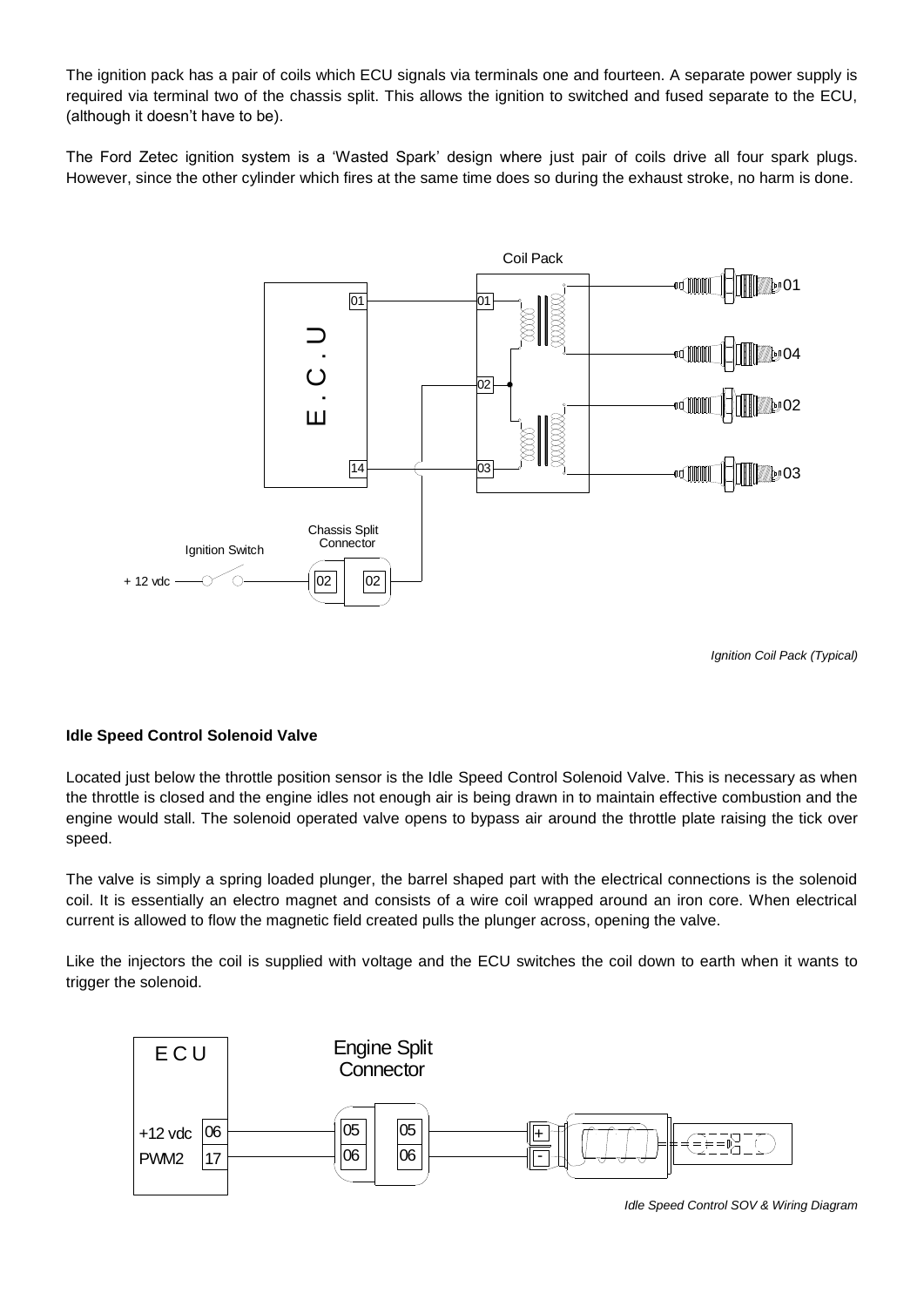The ignition pack has a pair of coils which ECU signals via terminals one and fourteen. A separate power supply is required via terminal two of the chassis split. This allows the ignition to switched and fused separate to the ECU, (although it doesn't have to be).

The Ford Zetec ignition system is a 'Wasted Spark' design where just pair of coils drive all four spark plugs. However, since the other cylinder which fires at the same time does so during the exhaust stroke, no harm is done.



*Ignition Coil Pack (Typical)*

#### **Idle Speed Control Solenoid Valve**

Located just below the throttle position sensor is the Idle Speed Control Solenoid Valve. This is necessary as when the throttle is closed and the engine idles not enough air is being drawn in to maintain effective combustion and the engine would stall. The solenoid operated valve opens to bypass air around the throttle plate raising the tick over speed.

The valve is simply a spring loaded plunger, the barrel shaped part with the electrical connections is the solenoid coil. It is essentially an electro magnet and consists of a wire coil wrapped around an iron core. When electrical current is allowed to flow the magnetic field created pulls the plunger across, opening the valve.

Like the injectors the coil is supplied with voltage and the ECU switches the coil down to earth when it wants to trigger the solenoid.



*Idle Speed Control SOV & Wiring Diagram*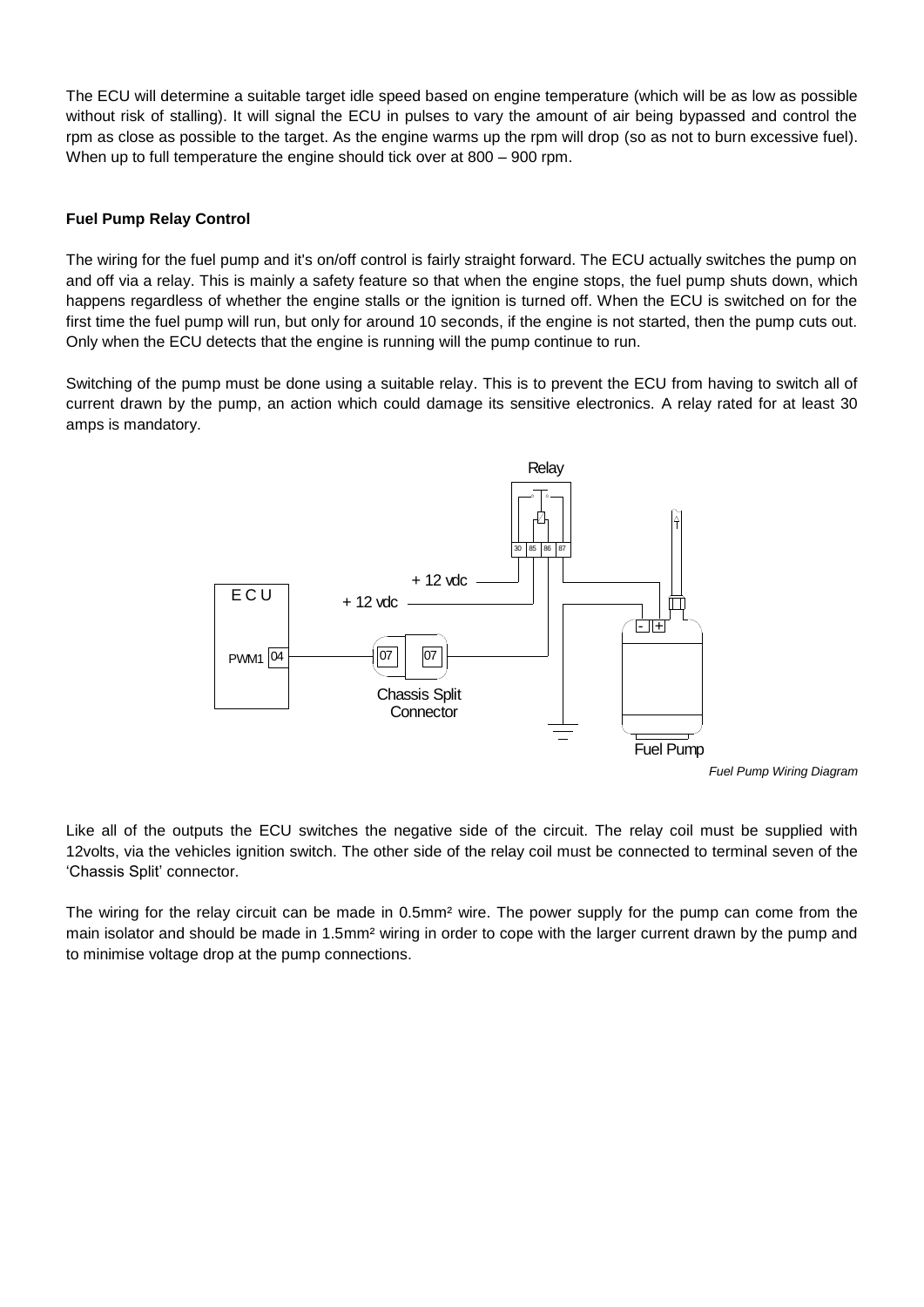The ECU will determine a suitable target idle speed based on engine temperature (which will be as low as possible without risk of stalling). It will signal the ECU in pulses to vary the amount of air being bypassed and control the rpm as close as possible to the target. As the engine warms up the rpm will drop (so as not to burn excessive fuel). When up to full temperature the engine should tick over at 800 – 900 rpm.

# **Fuel Pump Relay Control**

The wiring for the fuel pump and it's on/off control is fairly straight forward. The ECU actually switches the pump on and off via a relay. This is mainly a safety feature so that when the engine stops, the fuel pump shuts down, which happens regardless of whether the engine stalls or the ignition is turned off. When the ECU is switched on for the first time the fuel pump will run, but only for around 10 seconds, if the engine is not started, then the pump cuts out. Only when the ECU detects that the engine is running will the pump continue to run.

Switching of the pump must be done using a suitable relay. This is to prevent the ECU from having to switch all of current drawn by the pump, an action which could damage its sensitive electronics. A relay rated for at least 30 amps is mandatory.



*Fuel Pump Wiring Diagram*

Like all of the outputs the ECU switches the negative side of the circuit. The relay coil must be supplied with 12volts, via the vehicles ignition switch. The other side of the relay coil must be connected to terminal seven of the 'Chassis Split' connector.

The wiring for the relay circuit can be made in 0.5mm<sup>2</sup> wire. The power supply for the pump can come from the main isolator and should be made in 1.5mm² wiring in order to cope with the larger current drawn by the pump and to minimise voltage drop at the pump connections.